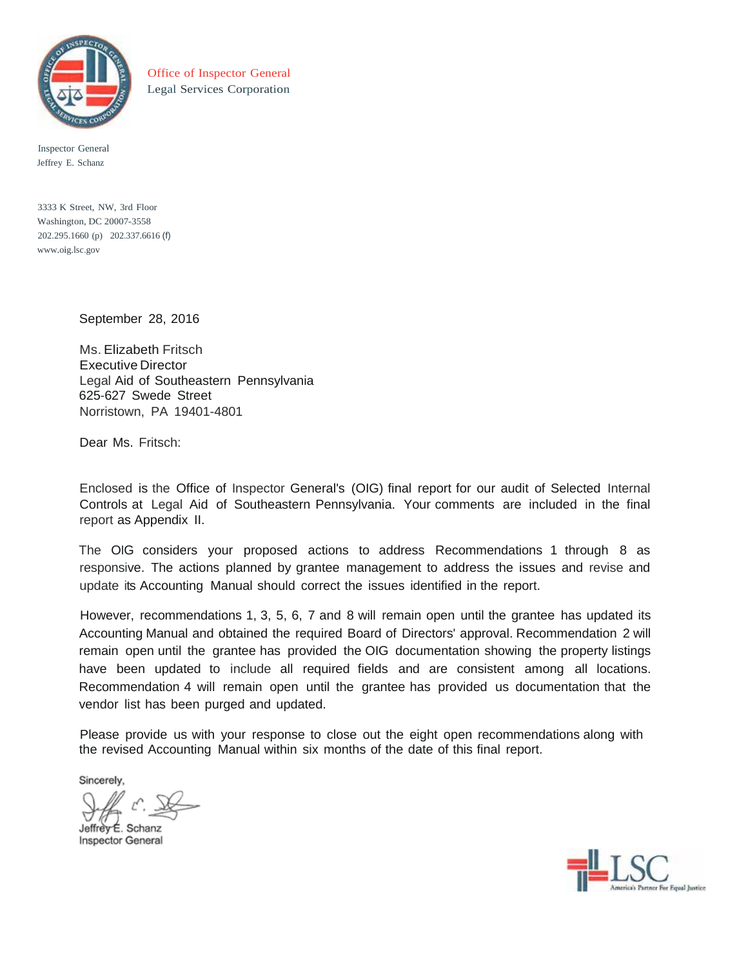

Office of Inspector General Legal Services Corporation

Inspector General Jeffrey E. Schanz

3333 K Street, NW, 3rd Floor Washington, DC 20007-3558 202.295.1660 (p) 202.337.6616 (f) [www.oig.lsc.gov](http://www.oig.lsc.gov/)

September 28, 2016

Ms. Elizabeth Fritsch Executive Director Legal Aid of Southeastern Pennsylvania 625-627 Swede Street Norristown, PA 19401-4801

Dear Ms. Fritsch:

Enclosed is the Office of Inspector General's (OIG) final report for our audit of Selected Internal Controls at Legal Aid of Southeastern Pennsylvania. Your comments are included in the final report as Appendix II.

The OIG considers your proposed actions to address Recommendations 1 through 8 as responsive. The actions planned by grantee management to address the issues and revise and update its Accounting Manual should correct the issues identified in the report.

However, recommendations 1, 3, 5, 6, 7 and 8 will remain open until the grantee has updated its Accounting Manual and obtained the required Board of Directors' approval. Recommendation 2 will remain open until the grantee has provided the OIG documentation showing the property listings have been updated to include all required fields and are consistent among all locations. Recommendation 4 will remain open until the grantee has provided us documentation that the vendor list has been purged and updated.

Please provide us with your response to close out the eight open recommendations along with the revised Accounting Manual within six months of the date of this final report.

Sincerely,

Jeffrèv É. Schanz Inspector General

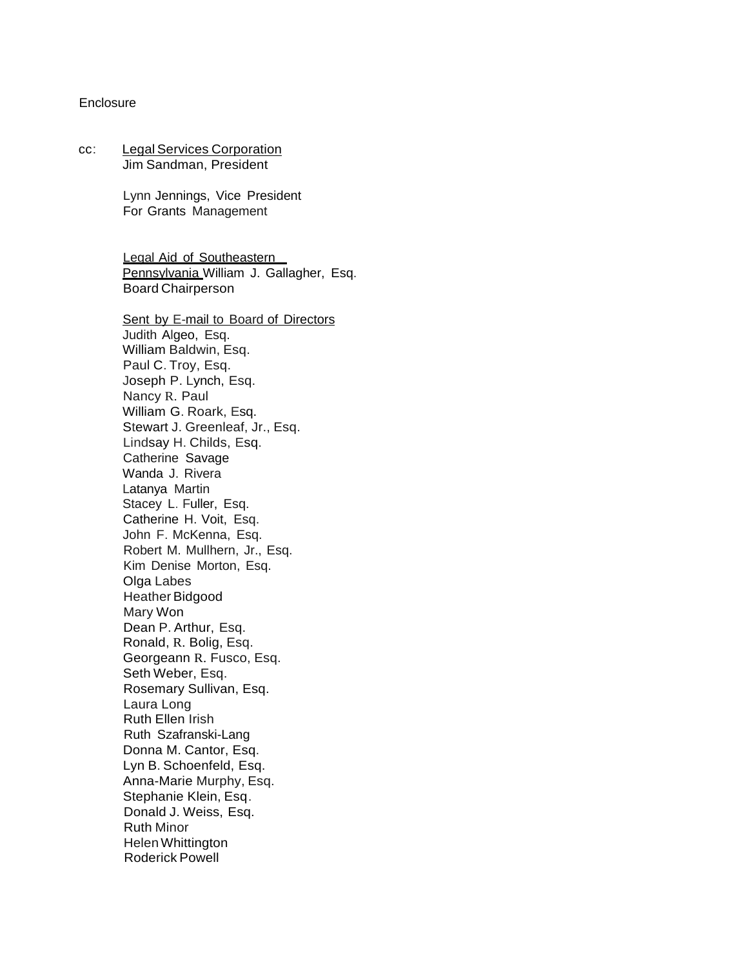#### **Enclosure**

#### cc: Legal Services Corporation Jim Sandman, President

Lynn Jennings, Vice President For Grants Management

Legal Aid of Southeastern Pennsylvania William J. Gallagher, Esq. Board Chairperson

Sent by E-mail to Board of Directors Judith Algeo, Esq. William Baldwin, Esq. Paul C. Troy, Esq. Joseph P. Lynch, Esq. Nancy R. Paul William G. Roark, Esq. Stewart J. Greenleaf, Jr., Esq. Lindsay H. Childs, Esq. Catherine Savage Wanda J. Rivera Latanya Martin Stacey L. Fuller, Esq. Catherine H. Voit, Esq. John F. McKenna, Esq. Robert M. Mullhern, Jr., Esq. Kim Denise Morton, Esq. Olga Labes Heather Bidgood Mary Won Dean P. Arthur, Esq. Ronald, R. Bolig, Esq. Georgeann R. Fusco, Esq. Seth Weber, Esq. Rosemary Sullivan, Esq. Laura Long Ruth Ellen Irish Ruth Szafranski-Lang Donna M. Cantor, Esq. Lyn B. Schoenfeld, Esq. Anna-Marie Murphy, Esq. Stephanie Klein, Esq. Donald J. Weiss, Esq. Ruth Minor HelenWhittington Roderick Powell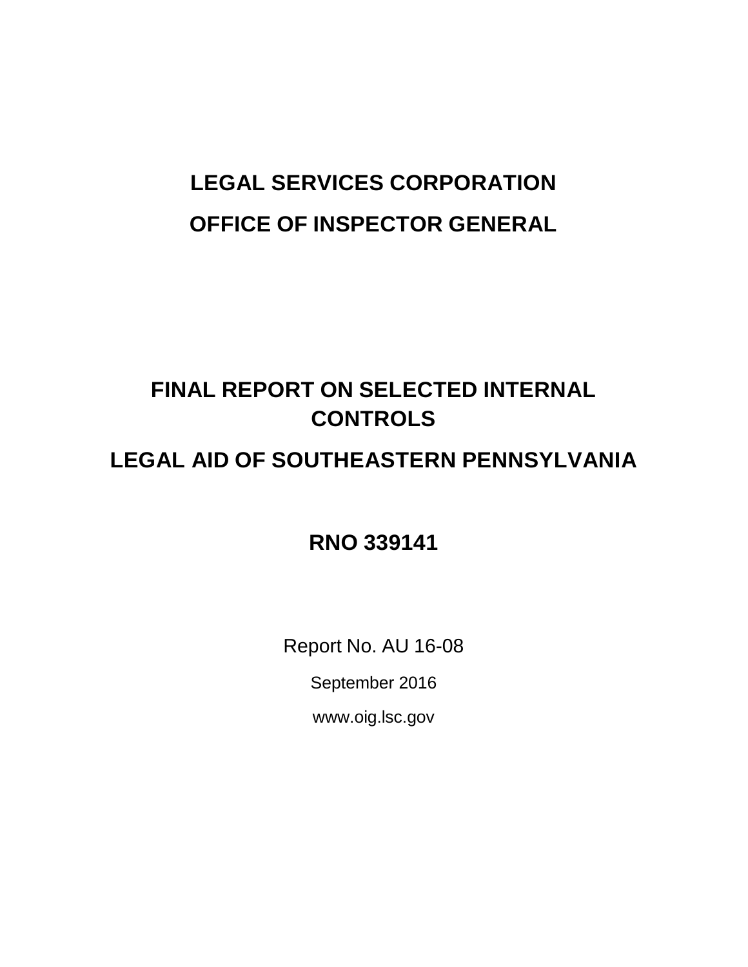# **LEGAL SERVICES CORPORATION OFFICE OF INSPECTOR GENERAL**

## **FINAL REPORT ON SELECTED INTERNAL CONTROLS**

### **LEGAL AID OF SOUTHEASTERN PENNSYLVANIA**

**RNO 339141**

Report No. AU 16-08

September 2016

[www.oig.lsc.gov](http://www.oig.lsc.gov/)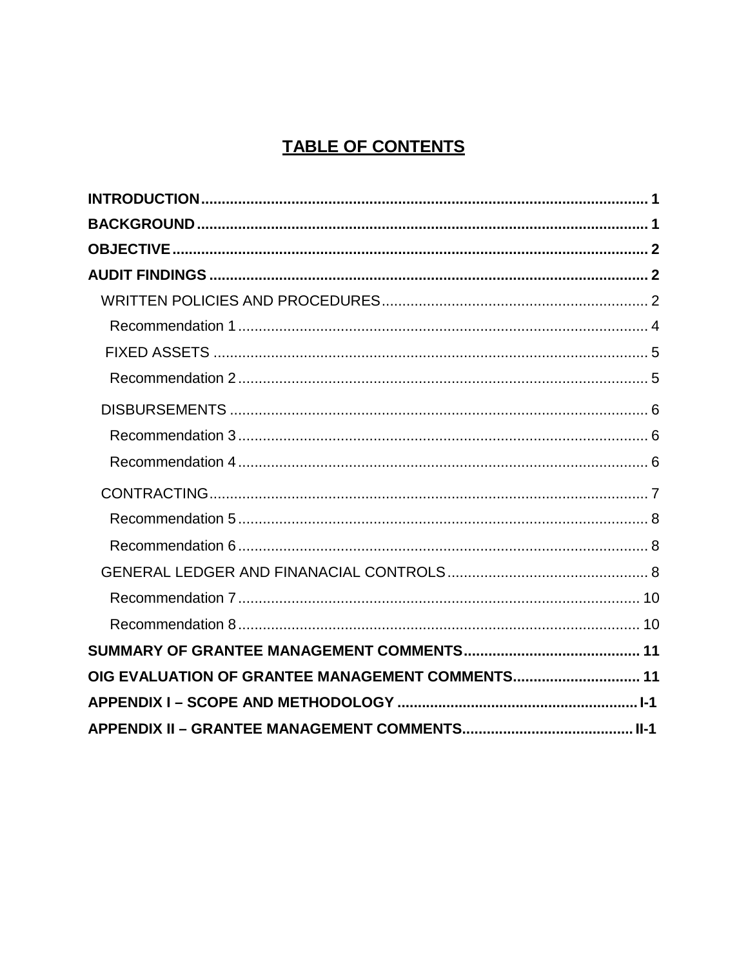### **TABLE OF CONTENTS**

| OIG EVALUATION OF GRANTEE MANAGEMENT COMMENTS 11 |  |
|--------------------------------------------------|--|
|                                                  |  |
|                                                  |  |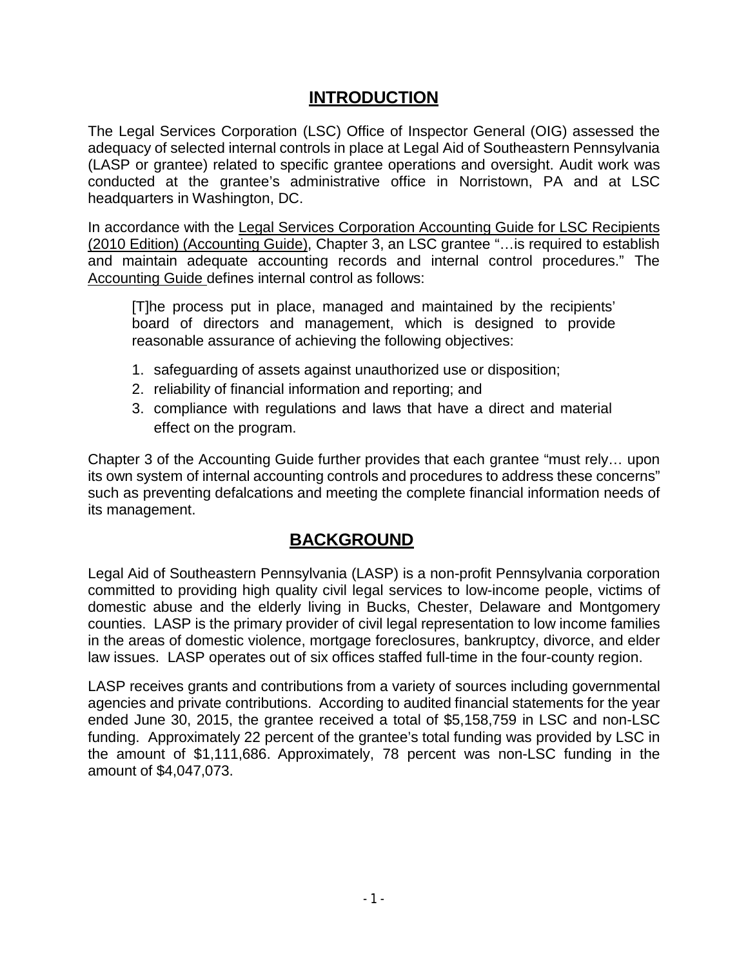### **INTRODUCTION**

<span id="page-4-0"></span>The Legal Services Corporation (LSC) Office of Inspector General (OIG) assessed the adequacy of selected internal controls in place at Legal Aid of Southeastern Pennsylvania (LASP or grantee) related to specific grantee operations and oversight. Audit work was conducted at the grantee's administrative office in Norristown, PA and at LSC headquarters in Washington, DC.

In accordance with the Legal Services Corporation Accounting Guide for LSC Recipients (2010 Edition) (Accounting Guide), Chapter 3, an LSC grantee "…is required to establish and maintain adequate accounting records and internal control procedures." The Accounting Guide defines internal control as follows:

[T]he process put in place, managed and maintained by the recipients' board of directors and management, which is designed to provide reasonable assurance of achieving the following objectives:

- 1. safeguarding of assets against unauthorized use or disposition;
- 2. reliability of financial information and reporting; and
- 3. compliance with regulations and laws that have a direct and material effect on the program.

Chapter 3 of the Accounting Guide further provides that each grantee "must rely… upon its own system of internal accounting controls and procedures to address these concerns" such as preventing defalcations and meeting the complete financial information needs of its management.

#### **BACKGROUND**

<span id="page-4-1"></span>Legal Aid of Southeastern Pennsylvania (LASP) is a non-profit Pennsylvania corporation committed to providing high quality civil legal services to low-income people, victims of domestic abuse and the elderly living in Bucks, Chester, Delaware and Montgomery counties. LASP is the primary provider of civil legal representation to low income families in the areas of domestic violence, mortgage foreclosures, bankruptcy, divorce, and elder law issues. LASP operates out of six offices staffed full-time in the four-county region.

LASP receives grants and contributions from a variety of sources including governmental agencies and private contributions. According to audited financial statements for the year ended June 30, 2015, the grantee received a total of \$5,158,759 in LSC and non-LSC funding. Approximately 22 percent of the grantee's total funding was provided by LSC in the amount of \$1,111,686. Approximately, 78 percent was non-LSC funding in the amount of \$4,047,073.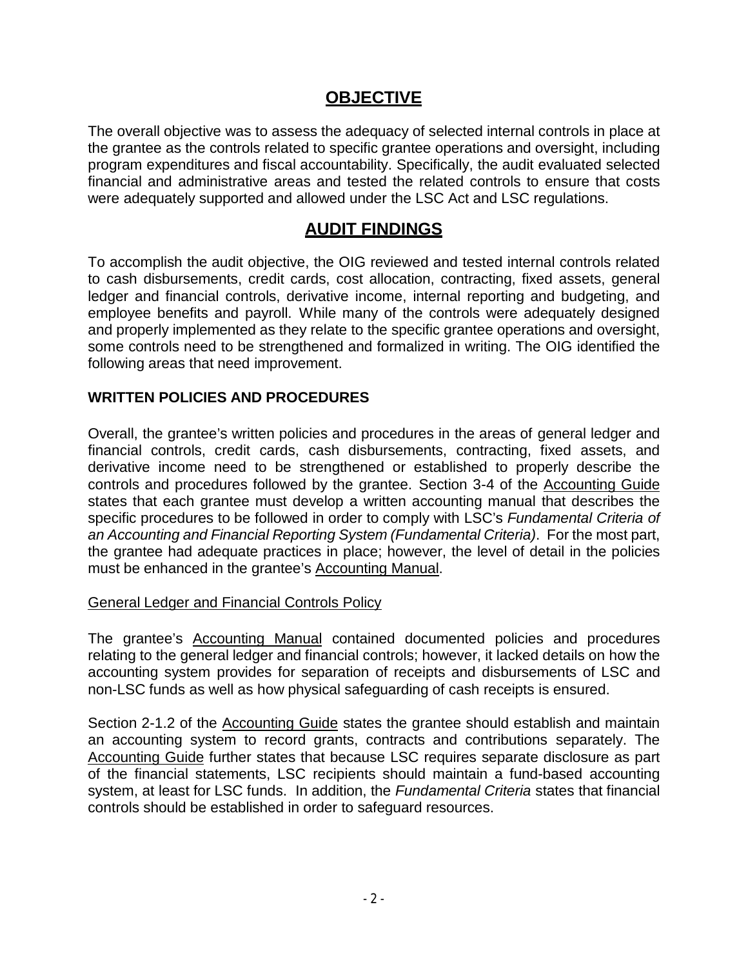#### **OBJECTIVE**

<span id="page-5-0"></span>The overall objective was to assess the adequacy of selected internal controls in place at the grantee as the controls related to specific grantee operations and oversight, including program expenditures and fiscal accountability. Specifically, the audit evaluated selected financial and administrative areas and tested the related controls to ensure that costs were adequately supported and allowed under the LSC Act and LSC regulations.

#### **AUDIT FINDINGS**

<span id="page-5-1"></span>To accomplish the audit objective, the OIG reviewed and tested internal controls related to cash disbursements, credit cards, cost allocation, contracting, fixed assets, general ledger and financial controls, derivative income, internal reporting and budgeting, and employee benefits and payroll. While many of the controls were adequately designed and properly implemented as they relate to the specific grantee operations and oversight, some controls need to be strengthened and formalized in writing. The OIG identified the following areas that need improvement.

#### <span id="page-5-2"></span>**WRITTEN POLICIES AND PROCEDURES**

Overall, the grantee's written policies and procedures in the areas of general ledger and financial controls, credit cards, cash disbursements, contracting, fixed assets, and derivative income need to be strengthened or established to properly describe the controls and procedures followed by the grantee. Section 3-4 of the Accounting Guide states that each grantee must develop a written accounting manual that describes the specific procedures to be followed in order to comply with LSC's *Fundamental Criteria of an Accounting and Financial Reporting System (Fundamental Criteria)*. For the most part, the grantee had adequate practices in place; however, the level of detail in the policies must be enhanced in the grantee's Accounting Manual.

#### General Ledger and Financial Controls Policy

The grantee's Accounting Manual contained documented policies and procedures relating to the general ledger and financial controls; however, it lacked details on how the accounting system provides for separation of receipts and disbursements of LSC and non-LSC funds as well as how physical safeguarding of cash receipts is ensured.

Section 2-1.2 of the Accounting Guide states the grantee should establish and maintain an accounting system to record grants, contracts and contributions separately. The Accounting Guide further states that because LSC requires separate disclosure as part of the financial statements, LSC recipients should maintain a fund-based accounting system, at least for LSC funds. In addition, the *Fundamental Criteria* states that financial controls should be established in order to safeguard resources.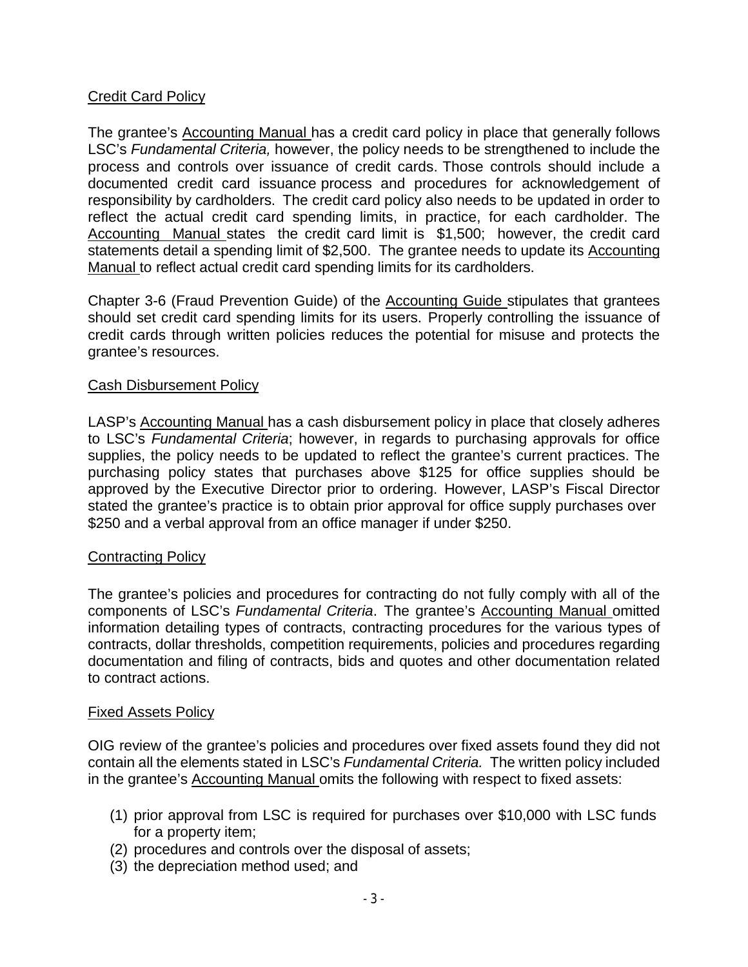#### Credit Card Policy

The grantee's Accounting Manual has a credit card policy in place that generally follows LSC's *Fundamental Criteria,* however, the policy needs to be strengthened to include the process and controls over issuance of credit cards. Those controls should include a documented credit card issuance process and procedures for acknowledgement of responsibility by cardholders. The credit card policy also needs to be updated in order to reflect the actual credit card spending limits, in practice, for each cardholder. The Accounting Manual states the credit card limit is \$1,500; however, the credit card statements detail a spending limit of \$2,500. The grantee needs to update its Accounting Manual to reflect actual credit card spending limits for its cardholders.

Chapter 3-6 (Fraud Prevention Guide) of the Accounting Guide stipulates that grantees should set credit card spending limits for its users. Properly controlling the issuance of credit cards through written policies reduces the potential for misuse and protects the grantee's resources.

#### Cash Disbursement Policy

LASP's Accounting Manual has a cash disbursement policy in place that closely adheres to LSC's *Fundamental Criteria*; however, in regards to purchasing approvals for office supplies, the policy needs to be updated to reflect the grantee's current practices. The purchasing policy states that purchases above \$125 for office supplies should be approved by the Executive Director prior to ordering. However, LASP's Fiscal Director stated the grantee's practice is to obtain prior approval for office supply purchases over \$250 and a verbal approval from an office manager if under \$250.

#### **Contracting Policy**

The grantee's policies and procedures for contracting do not fully comply with all of the components of LSC's *Fundamental Criteria*. The grantee's Accounting Manual omitted information detailing types of contracts, contracting procedures for the various types of contracts, dollar thresholds, competition requirements, policies and procedures regarding documentation and filing of contracts, bids and quotes and other documentation related to contract actions.

#### Fixed Assets Policy

OIG review of the grantee's policies and procedures over fixed assets found they did not contain all the elements stated in LSC's *Fundamental Criteria.* The written policy included in the grantee's Accounting Manual omits the following with respect to fixed assets:

- (1) prior approval from LSC is required for purchases over \$10,000 with LSC funds for a property item;
- (2) procedures and controls over the disposal of assets;
- (3) the depreciation method used; and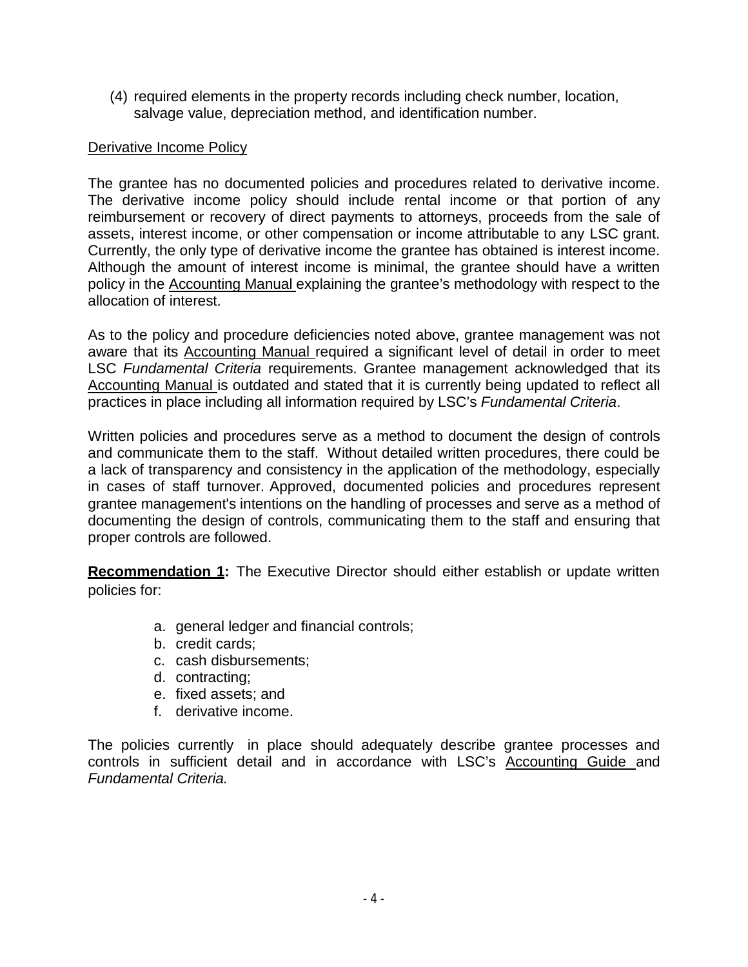(4) required elements in the property records including check number, location, salvage value, depreciation method, and identification number.

#### Derivative Income Policy

The grantee has no documented policies and procedures related to derivative income. The derivative income policy should include rental income or that portion of any reimbursement or recovery of direct payments to attorneys, proceeds from the sale of assets, interest income, or other compensation or income attributable to any LSC grant. Currently, the only type of derivative income the grantee has obtained is interest income. Although the amount of interest income is minimal, the grantee should have a written policy in the Accounting Manual explaining the grantee's methodology with respect to the allocation of interest.

As to the policy and procedure deficiencies noted above, grantee management was not aware that its Accounting Manual required a significant level of detail in order to meet LSC *Fundamental Criteria* requirements. Grantee management acknowledged that its Accounting Manual is outdated and stated that it is currently being updated to reflect all practices in place including all information required by LSC's *Fundamental Criteria*.

Written policies and procedures serve as a method to document the design of controls and communicate them to the staff. Without detailed written procedures, there could be a lack of transparency and consistency in the application of the methodology, especially in cases of staff turnover. Approved, documented policies and procedures represent grantee management's intentions on the handling of processes and serve as a method of documenting the design of controls, communicating them to the staff and ensuring that proper controls are followed.

**Recommendation 1:** The Executive Director should either establish or update written policies for:

- a. general ledger and financial controls;
- b. credit cards;
- c. cash disbursements;
- d. contracting;
- e. fixed assets; and
- f. derivative income.

The policies currently in place should adequately describe grantee processes and controls in sufficient detail and in accordance with LSC's Accounting Guide and *Fundamental Criteria.*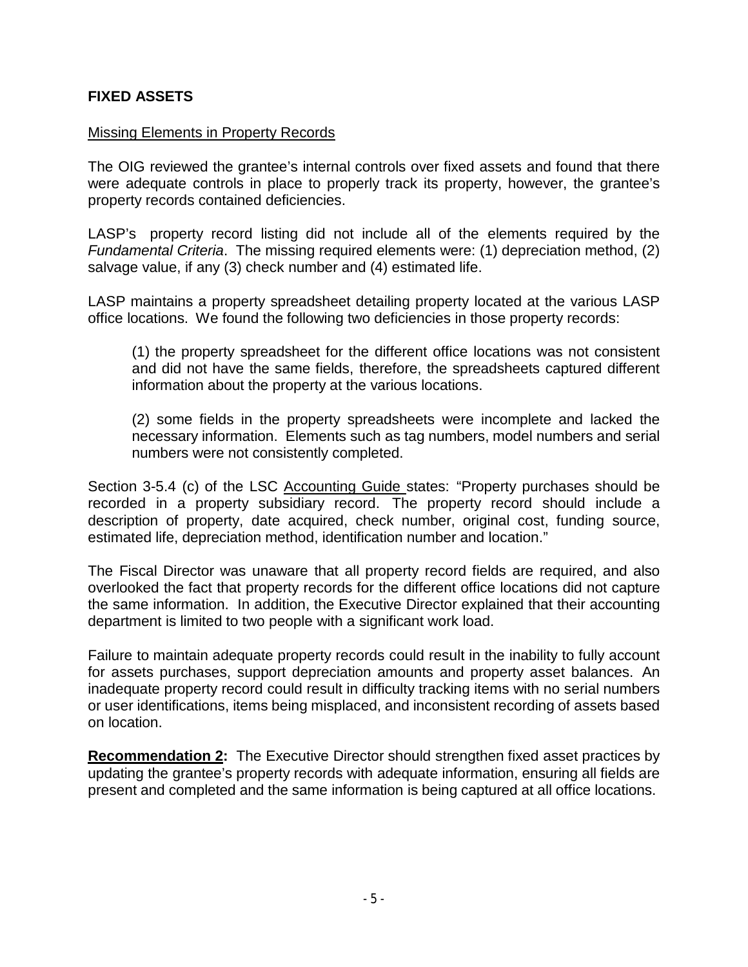#### **FIXED ASSETS**

#### Missing Elements in Property Records

The OIG reviewed the grantee's internal controls over fixed assets and found that there were adequate controls in place to properly track its property, however, the grantee's property records contained deficiencies.

LASP's property record listing did not include all of the elements required by the *Fundamental Criteria*. The missing required elements were: (1) depreciation method, (2) salvage value, if any (3) check number and (4) estimated life.

LASP maintains a property spreadsheet detailing property located at the various LASP office locations. We found the following two deficiencies in those property records:

(1) the property spreadsheet for the different office locations was not consistent and did not have the same fields, therefore, the spreadsheets captured different information about the property at the various locations.

(2) some fields in the property spreadsheets were incomplete and lacked the necessary information. Elements such as tag numbers, model numbers and serial numbers were not consistently completed.

Section 3-5.4 (c) of the LSC Accounting Guide states: "Property purchases should be recorded in a property subsidiary record. The property record should include a description of property, date acquired, check number, original cost, funding source, estimated life, depreciation method, identification number and location."

The Fiscal Director was unaware that all property record fields are required, and also overlooked the fact that property records for the different office locations did not capture the same information. In addition, the Executive Director explained that their accounting department is limited to two people with a significant work load.

Failure to maintain adequate property records could result in the inability to fully account for assets purchases, support depreciation amounts and property asset balances. An inadequate property record could result in difficulty tracking items with no serial numbers or user identifications, items being misplaced, and inconsistent recording of assets based on location.

**Recommendation 2:** The Executive Director should strengthen fixed asset practices by updating the grantee's property records with adequate information, ensuring all fields are present and completed and the same information is being captured at all office locations.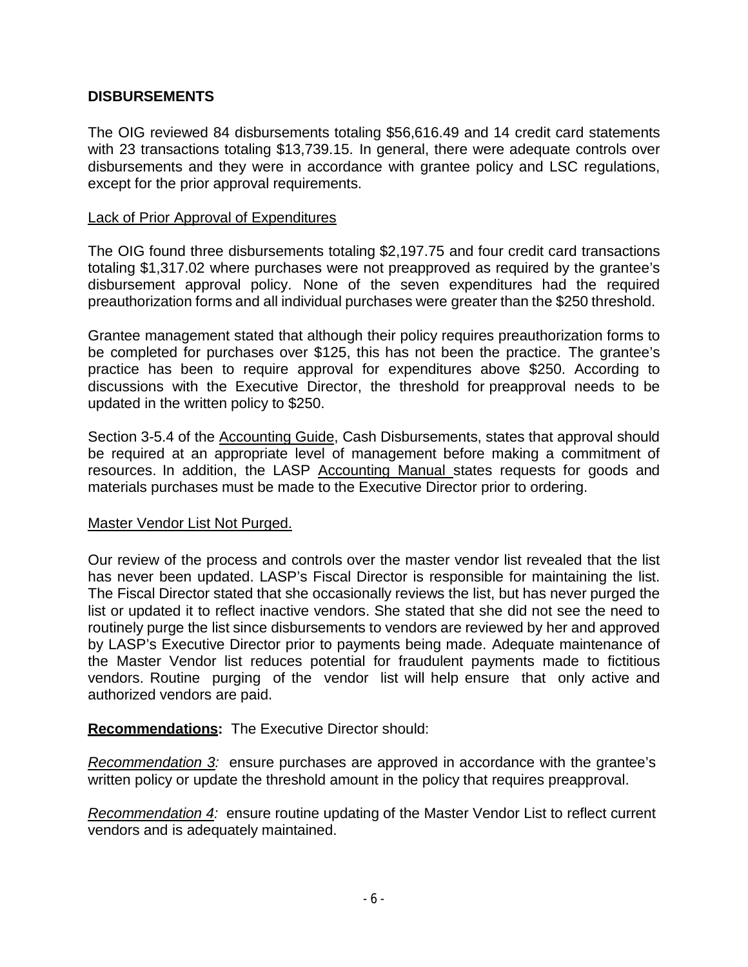#### **DISBURSEMENTS**

The OIG reviewed 84 disbursements totaling \$56,616.49 and 14 credit card statements with 23 transactions totaling \$13,739.15. In general, there were adequate controls over disbursements and they were in accordance with grantee policy and LSC regulations, except for the prior approval requirements.

#### Lack of Prior Approval of Expenditures

The OIG found three disbursements totaling \$2,197.75 and four credit card transactions totaling \$1,317.02 where purchases were not preapproved as required by the grantee's disbursement approval policy. None of the seven expenditures had the required preauthorization forms and all individual purchases were greater than the \$250 threshold.

Grantee management stated that although their policy requires preauthorization forms to be completed for purchases over \$125, this has not been the practice. The grantee's practice has been to require approval for expenditures above \$250. According to discussions with the Executive Director, the threshold for preapproval needs to be updated in the written policy to \$250.

Section 3-5.4 of the Accounting Guide, Cash Disbursements, states that approval should be required at an appropriate level of management before making a commitment of resources. In addition, the LASP Accounting Manual states requests for goods and materials purchases must be made to the Executive Director prior to ordering.

#### Master Vendor List Not Purged.

Our review of the process and controls over the master vendor list revealed that the list has never been updated. LASP's Fiscal Director is responsible for maintaining the list. The Fiscal Director stated that she occasionally reviews the list, but has never purged the list or updated it to reflect inactive vendors. She stated that she did not see the need to routinely purge the list since disbursements to vendors are reviewed by her and approved by LASP's Executive Director prior to payments being made. Adequate maintenance of the Master Vendor list reduces potential for fraudulent payments made to fictitious vendors. Routine purging of the vendor list will help ensure that only active and authorized vendors are paid.

**Recommendations:** The Executive Director should:

*Recommendation 3:* ensure purchases are approved in accordance with the grantee's written policy or update the threshold amount in the policy that requires preapproval.

*Recommendation 4:* ensure routine updating of the Master Vendor List to reflect current vendors and is adequately maintained.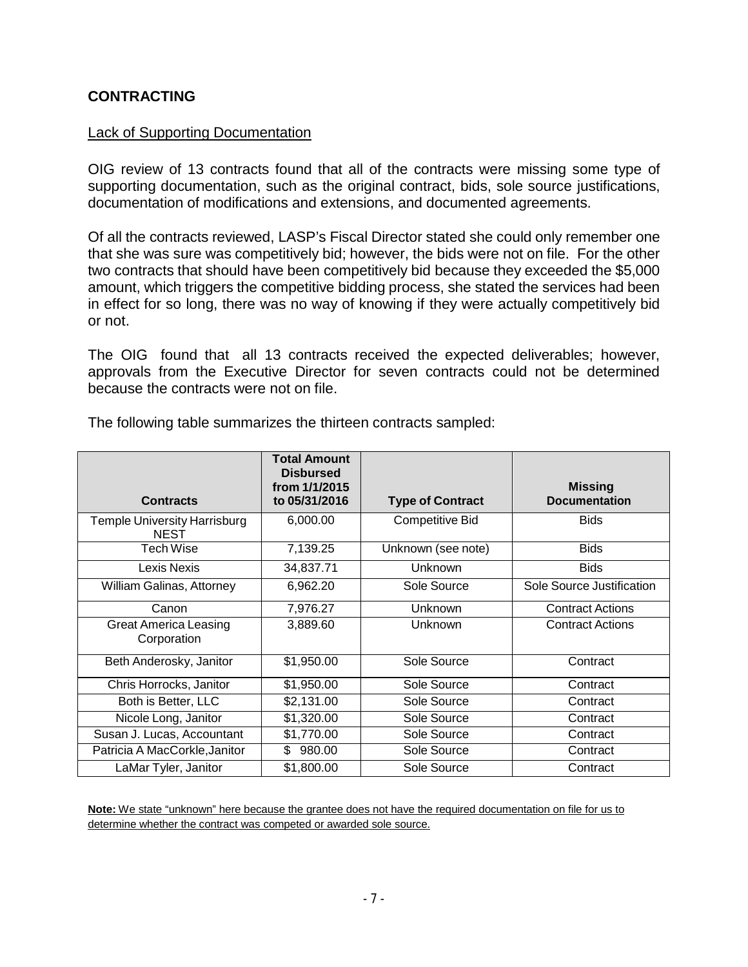#### **CONTRACTING**

#### Lack of Supporting Documentation

OIG review of 13 contracts found that all of the contracts were missing some type of supporting documentation, such as the original contract, bids, sole source justifications, documentation of modifications and extensions, and documented agreements.

Of all the contracts reviewed, LASP's Fiscal Director stated she could only remember one that she was sure was competitively bid; however, the bids were not on file. For the other two contracts that should have been competitively bid because they exceeded the \$5,000 amount, which triggers the competitive bidding process, she stated the services had been in effect for so long, there was no way of knowing if they were actually competitively bid or not.

The OIG found that all 13 contracts received the expected deliverables; however, approvals from the Executive Director for seven contracts could not be determined because the contracts were not on file.

| <b>Contracts</b>                                   | <b>Total Amount</b><br><b>Disbursed</b><br>from 1/1/2015<br>to 05/31/2016 | <b>Type of Contract</b> | <b>Missing</b><br><b>Documentation</b> |
|----------------------------------------------------|---------------------------------------------------------------------------|-------------------------|----------------------------------------|
| <b>Temple University Harrisburg</b><br><b>NEST</b> | 6,000.00                                                                  | <b>Competitive Bid</b>  | <b>Bids</b>                            |
| Tech Wise                                          | 7,139.25                                                                  | Unknown (see note)      | <b>Bids</b>                            |
| Lexis Nexis                                        | 34,837.71                                                                 | <b>Unknown</b>          | <b>Bids</b>                            |
| William Galinas, Attorney                          | 6,962.20                                                                  | Sole Source             | Sole Source Justification              |
| Canon                                              | 7,976.27                                                                  | <b>Unknown</b>          | <b>Contract Actions</b>                |
| <b>Great America Leasing</b><br>Corporation        | 3,889.60                                                                  | Unknown                 | <b>Contract Actions</b>                |
| Beth Anderosky, Janitor                            | \$1,950.00                                                                | Sole Source             | Contract                               |
| Chris Horrocks, Janitor                            | \$1,950.00                                                                | Sole Source             | Contract                               |
| Both is Better, LLC                                | \$2,131.00                                                                | Sole Source             | Contract                               |
| Nicole Long, Janitor                               | \$1,320.00                                                                | Sole Source             | Contract                               |
| Susan J. Lucas, Accountant                         | \$1,770.00                                                                | Sole Source             | Contract                               |
| Patricia A MacCorkle, Janitor                      | \$<br>980.00                                                              | Sole Source             | Contract                               |
| LaMar Tyler, Janitor                               | \$1,800.00                                                                | Sole Source             | Contract                               |

The following table summarizes the thirteen contracts sampled:

**Note:** We state "unknown" here because the grantee does not have the required documentation on file for us to determine whether the contract was competed or awarded sole source.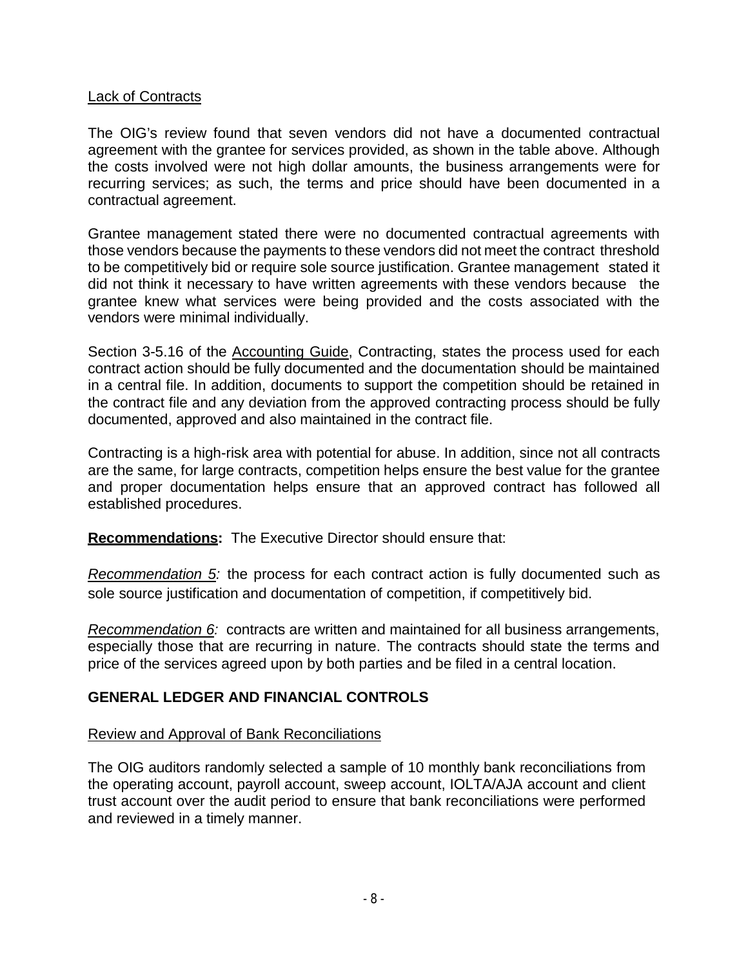#### Lack of Contracts

The OIG's review found that seven vendors did not have a documented contractual agreement with the grantee for services provided, as shown in the table above. Although the costs involved were not high dollar amounts, the business arrangements were for recurring services; as such, the terms and price should have been documented in a contractual agreement.

Grantee management stated there were no documented contractual agreements with those vendors because the payments to these vendors did not meet the contract threshold to be competitively bid or require sole source justification. Grantee management stated it did not think it necessary to have written agreements with these vendors because the grantee knew what services were being provided and the costs associated with the vendors were minimal individually.

Section 3-5.16 of the Accounting Guide, Contracting, states the process used for each contract action should be fully documented and the documentation should be maintained in a central file. In addition, documents to support the competition should be retained in the contract file and any deviation from the approved contracting process should be fully documented, approved and also maintained in the contract file.

Contracting is a high-risk area with potential for abuse. In addition, since not all contracts are the same, for large contracts, competition helps ensure the best value for the grantee and proper documentation helps ensure that an approved contract has followed all established procedures.

**Recommendations:** The Executive Director should ensure that:

*Recommendation 5:* the process for each contract action is fully documented such as sole source justification and documentation of competition, if competitively bid.

*Recommendation 6:* contracts are written and maintained for all business arrangements, especially those that are recurring in nature. The contracts should state the terms and price of the services agreed upon by both parties and be filed in a central location.

#### **GENERAL LEDGER AND FINANCIAL CONTROLS**

#### Review and Approval of Bank Reconciliations

The OIG auditors randomly selected a sample of 10 monthly bank reconciliations from the operating account, payroll account, sweep account, IOLTA/AJA account and client trust account over the audit period to ensure that bank reconciliations were performed and reviewed in a timely manner.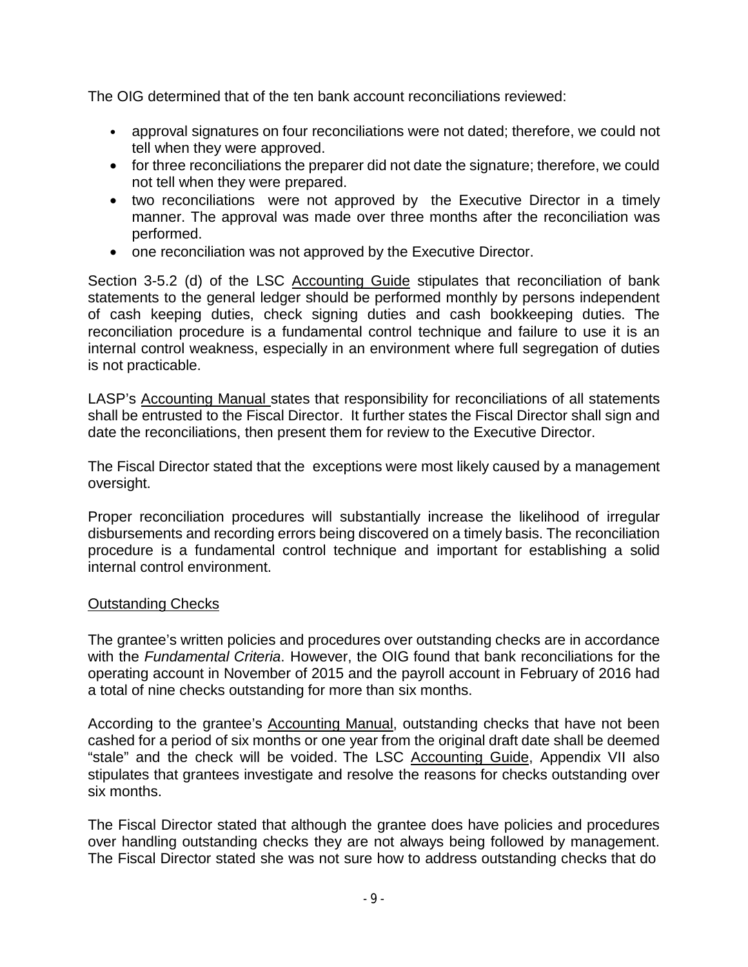The OIG determined that of the ten bank account reconciliations reviewed:

- approval signatures on four reconciliations were not dated; therefore, we could not tell when they were approved.
- for three reconciliations the preparer did not date the signature; therefore, we could not tell when they were prepared.
- two reconciliations were not approved by the Executive Director in a timely manner. The approval was made over three months after the reconciliation was performed.
- one reconciliation was not approved by the Executive Director.

Section 3-5.2 (d) of the LSC Accounting Guide stipulates that reconciliation of bank statements to the general ledger should be performed monthly by persons independent of cash keeping duties, check signing duties and cash bookkeeping duties. The reconciliation procedure is a fundamental control technique and failure to use it is an internal control weakness, especially in an environment where full segregation of duties is not practicable.

LASP's Accounting Manual states that responsibility for reconciliations of all statements shall be entrusted to the Fiscal Director. It further states the Fiscal Director shall sign and date the reconciliations, then present them for review to the Executive Director.

The Fiscal Director stated that the exceptions were most likely caused by a management oversight.

Proper reconciliation procedures will substantially increase the likelihood of irregular disbursements and recording errors being discovered on a timely basis. The reconciliation procedure is a fundamental control technique and important for establishing a solid internal control environment.

#### Outstanding Checks

The grantee's written policies and procedures over outstanding checks are in accordance with the *Fundamental Criteria*. However, the OIG found that bank reconciliations for the operating account in November of 2015 and the payroll account in February of 2016 had a total of nine checks outstanding for more than six months.

According to the grantee's Accounting Manual, outstanding checks that have not been cashed for a period of six months or one year from the original draft date shall be deemed "stale" and the check will be voided. The LSC Accounting Guide, Appendix VII also stipulates that grantees investigate and resolve the reasons for checks outstanding over six months.

The Fiscal Director stated that although the grantee does have policies and procedures over handling outstanding checks they are not always being followed by management. The Fiscal Director stated she was not sure how to address outstanding checks that do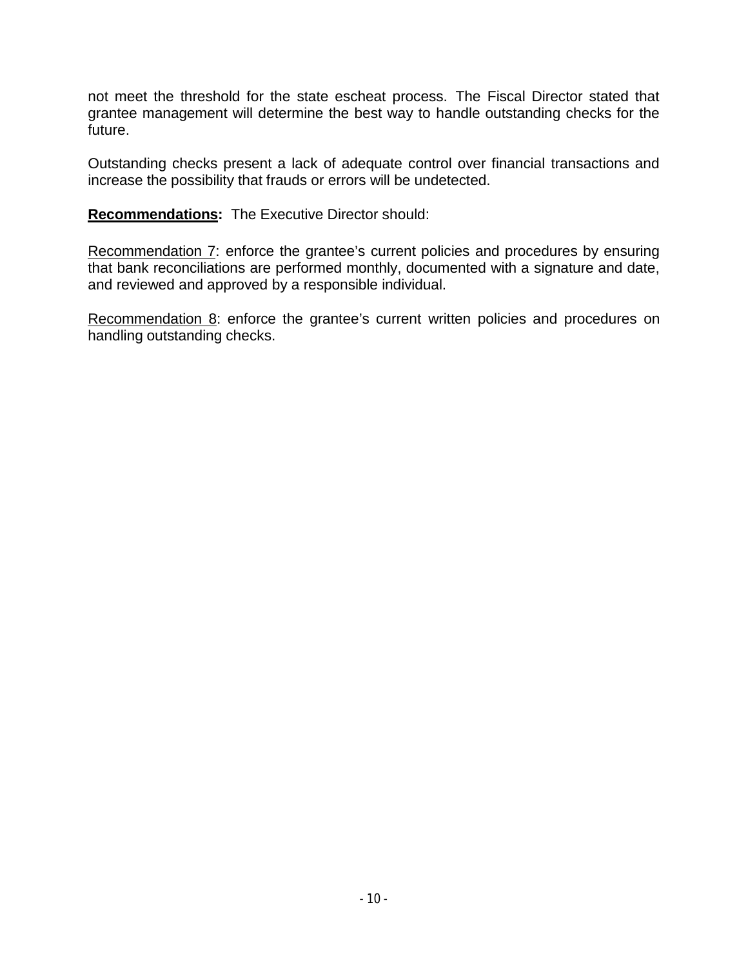not meet the threshold for the state escheat process. The Fiscal Director stated that grantee management will determine the best way to handle outstanding checks for the future.

Outstanding checks present a lack of adequate control over financial transactions and increase the possibility that frauds or errors will be undetected.

**Recommendations:** The Executive Director should:

Recommendation 7: enforce the grantee's current policies and procedures by ensuring that bank reconciliations are performed monthly, documented with a signature and date, and reviewed and approved by a responsible individual.

Recommendation 8: enforce the grantee's current written policies and procedures on handling outstanding checks.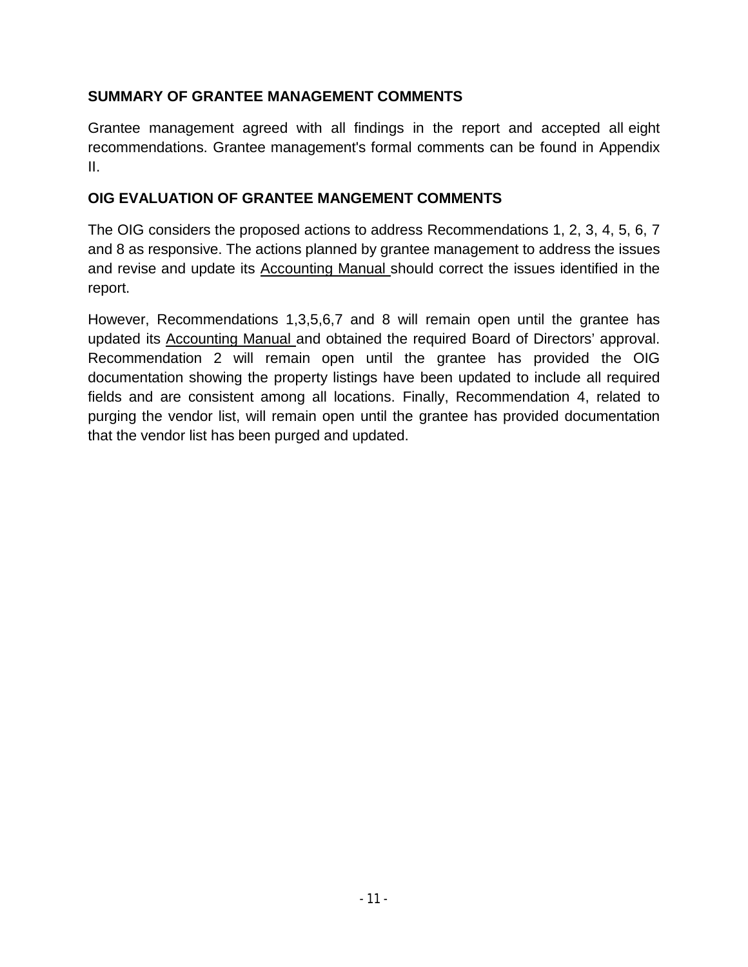#### **SUMMARY OF GRANTEE MANAGEMENT COMMENTS**

Grantee management agreed with all findings in the report and accepted all eight recommendations. Grantee management's formal comments can be found in Appendix II.

#### **OIG EVALUATION OF GRANTEE MANGEMENT COMMENTS**

The OIG considers the proposed actions to address Recommendations 1, 2, 3, 4, 5, 6, 7 and 8 as responsive. The actions planned by grantee management to address the issues and revise and update its Accounting Manual should correct the issues identified in the report.

However, Recommendations 1,3,5,6,7 and 8 will remain open until the grantee has updated its Accounting Manual and obtained the required Board of Directors' approval. Recommendation 2 will remain open until the grantee has provided the OIG documentation showing the property listings have been updated to include all required fields and are consistent among all locations. Finally, Recommendation 4, related to purging the vendor list, will remain open until the grantee has provided documentation that the vendor list has been purged and updated.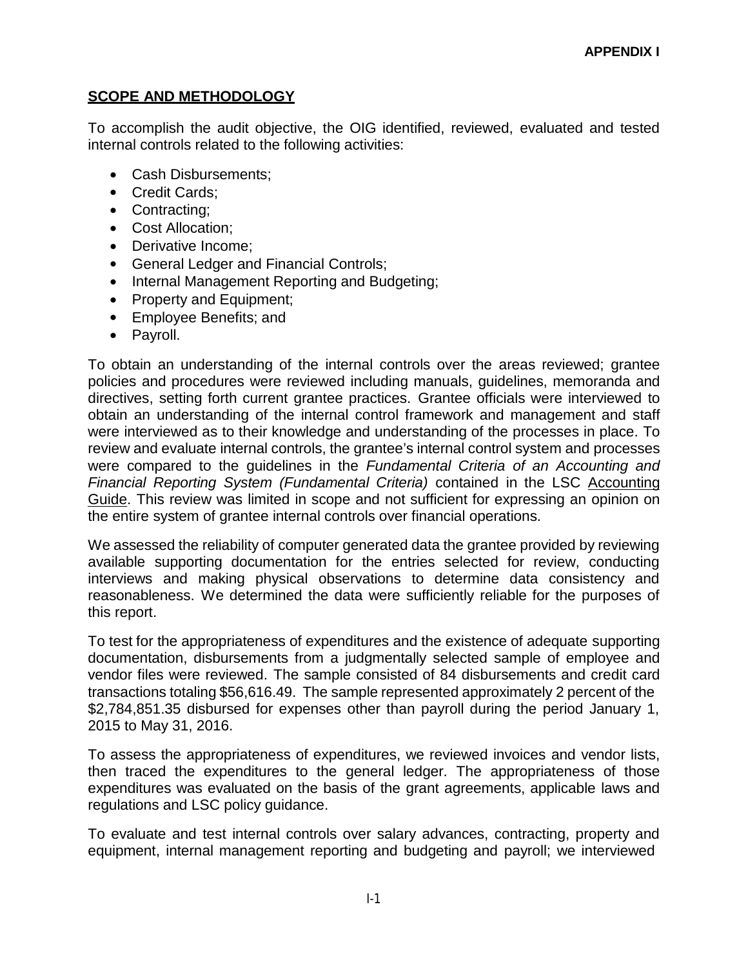#### **SCOPE AND METHODOLOGY**

To accomplish the audit objective, the OIG identified, reviewed, evaluated and tested internal controls related to the following activities:

- Cash Disbursements;
- Credit Cards;
- Contracting;
- Cost Allocation;
- Derivative Income;
- General Ledger and Financial Controls;
- Internal Management Reporting and Budgeting;
- Property and Equipment;
- Employee Benefits; and
- Payroll.

To obtain an understanding of the internal controls over the areas reviewed; grantee policies and procedures were reviewed including manuals, guidelines, memoranda and directives, setting forth current grantee practices. Grantee officials were interviewed to obtain an understanding of the internal control framework and management and staff were interviewed as to their knowledge and understanding of the processes in place. To review and evaluate internal controls, the grantee's internal control system and processes were compared to the guidelines in the *Fundamental Criteria of an Accounting and Financial Reporting System (Fundamental Criteria)* contained in the LSC Accounting Guide. This review was limited in scope and not sufficient for expressing an opinion on the entire system of grantee internal controls over financial operations.

We assessed the reliability of computer generated data the grantee provided by reviewing available supporting documentation for the entries selected for review, conducting interviews and making physical observations to determine data consistency and reasonableness. We determined the data were sufficiently reliable for the purposes of this report.

To test for the appropriateness of expenditures and the existence of adequate supporting documentation, disbursements from a judgmentally selected sample of employee and vendor files were reviewed. The sample consisted of 84 disbursements and credit card transactions totaling \$56,616.49. The sample represented approximately 2 percent of the \$2,784,851.35 disbursed for expenses other than payroll during the period January 1, 2015 to May 31, 2016.

To assess the appropriateness of expenditures, we reviewed invoices and vendor lists, then traced the expenditures to the general ledger. The appropriateness of those expenditures was evaluated on the basis of the grant agreements, applicable laws and regulations and LSC policy guidance.

To evaluate and test internal controls over salary advances, contracting, property and equipment, internal management reporting and budgeting and payroll; we interviewed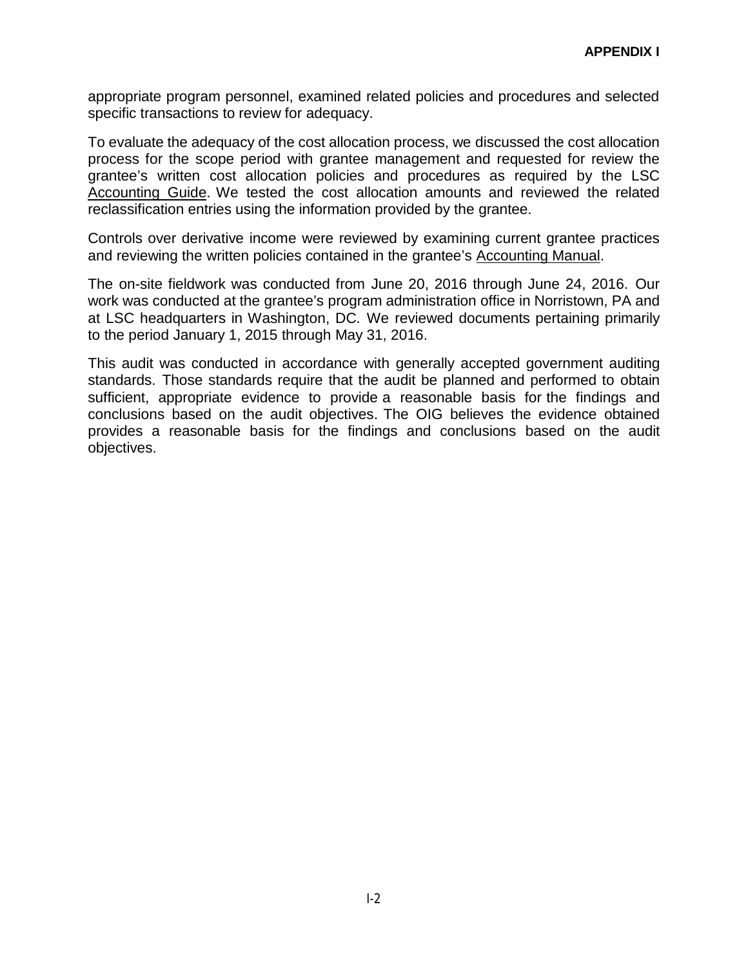appropriate program personnel, examined related policies and procedures and selected specific transactions to review for adequacy.

To evaluate the adequacy of the cost allocation process, we discussed the cost allocation process for the scope period with grantee management and requested for review the grantee's written cost allocation policies and procedures as required by the LSC Accounting Guide. We tested the cost allocation amounts and reviewed the related reclassification entries using the information provided by the grantee.

Controls over derivative income were reviewed by examining current grantee practices and reviewing the written policies contained in the grantee's Accounting Manual.

The on-site fieldwork was conducted from June 20, 2016 through June 24, 2016. Our work was conducted at the grantee's program administration office in Norristown, PA and at LSC headquarters in Washington, DC. We reviewed documents pertaining primarily to the period January 1, 2015 through May 31, 2016.

This audit was conducted in accordance with generally accepted government auditing standards. Those standards require that the audit be planned and performed to obtain sufficient, appropriate evidence to provide a reasonable basis for the findings and conclusions based on the audit objectives. The OIG believes the evidence obtained provides a reasonable basis for the findings and conclusions based on the audit objectives.